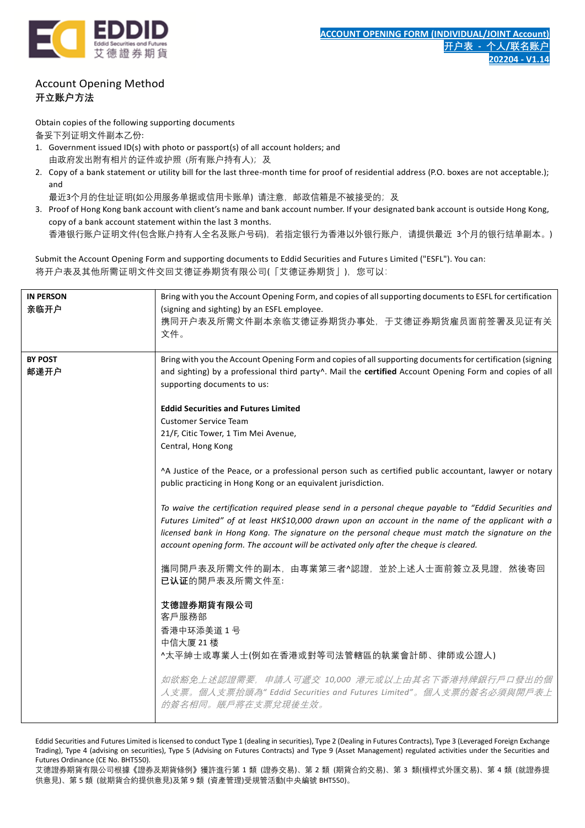

# Account Opening Method **开立账户方法**

Obtain copies of the following supporting documents

备妥下列证明文件副本乙份:

- 1. Government issued ID(s) with photo or passport(s) of all account holders; and 由政府发出附有相片的证件或护照 (所有账户持有人); 及
- 2. Copy of a bank statement or utility bill for the last three-month time for proof of residential address (P.O. boxes are not acceptable.); and

最近3个月的住址证明(如公用服务单据或信用卡账单) 请注意, 邮政信箱是不被接受的; 及

3. Proof of Hong Kong bank account with client's name and bank account number. If your designated bank account is outside Hong Kong, copy of a bank account statement within the last 3 months. 香港银行账户证明文件(包含账户持有人全名及账户号码),若指定银行为香港以外银行账户,请提供最近 3个月的银行结单副本。)

Submit the Account Opening Form and supporting documents to Eddid Securities and Futures Limited ("ESFL"). You can: 将开户表及其他所需证明文件交回艾德证券期货有限公司(「艾德证券期货」), 您可以:

| <b>IN PERSON</b><br>亲临开户 | Bring with you the Account Opening Form, and copies of all supporting documents to ESFL for certification<br>(signing and sighting) by an ESFL employee.<br>携同开户表及所需文件副本亲临艾德证券期货办事处,于艾德证券期货雇员面前签署及见证有关<br>文件。                                                                                                                                                                                           |
|--------------------------|---------------------------------------------------------------------------------------------------------------------------------------------------------------------------------------------------------------------------------------------------------------------------------------------------------------------------------------------------------------------------------------------------------|
| <b>BY POST</b><br>邮递开户   | Bring with you the Account Opening Form and copies of all supporting documents for certification (signing<br>and sighting) by a professional third party^. Mail the certified Account Opening Form and copies of all<br>supporting documents to us:                                                                                                                                                     |
|                          | <b>Eddid Securities and Futures Limited</b><br><b>Customer Service Team</b><br>21/F, Citic Tower, 1 Tim Mei Avenue,<br>Central, Hong Kong                                                                                                                                                                                                                                                               |
|                          | ^A Justice of the Peace, or a professional person such as certified public accountant, lawyer or notary<br>public practicing in Hong Kong or an equivalent jurisdiction.                                                                                                                                                                                                                                |
|                          | To waive the certification required please send in a personal cheque payable to "Eddid Securities and<br>Futures Limited" of at least HK\$10,000 drawn upon an account in the name of the applicant with a<br>licensed bank in Hong Kong. The signature on the personal cheque must match the signature on the<br>account opening form. The account will be activated only after the cheque is cleared. |
|                          | 攜同開戶表及所需文件的副本,由專業第三者^認證,並於上述人士面前簽立及見證,然後寄回<br>已认证的開戶表及所需文件至:                                                                                                                                                                                                                                                                                                                                            |
|                          | 艾德證券期貨有限公司<br>客戶服務部<br>香港中环添美道 1号<br>中信大厦 21 楼<br>^太平紳士或專業人士(例如在香港或對等司法管轄區的執業會計師、律師或公證人)                                                                                                                                                                                                                                                                                                                |
|                          | 如欲豁免上述認證需要,申請人可遞交 10,000 港元或以上由其名下香港持牌銀行戶口發出的個<br>人支票。個人支票抬頭為" Eddid Securities and Futures Limited"。個人支票的簽名必須與開戶表上<br>的簽名相同。賬戶將在支票兌現後生效。                                                                                                                                                                                                                                                               |

Eddid Securities and Futures Limited is licensed to conduct Type 1 (dealing in securities), Type 2 (Dealing in Futures Contracts), Type 3 (Leveraged Foreign Exchange Trading), Type 4 (advising on securities), Type 5 (Advising on Futures Contracts) and Type 9 (Asset Management) regulated activities under the Securities and Futures Ordinance (CE No. BHT550).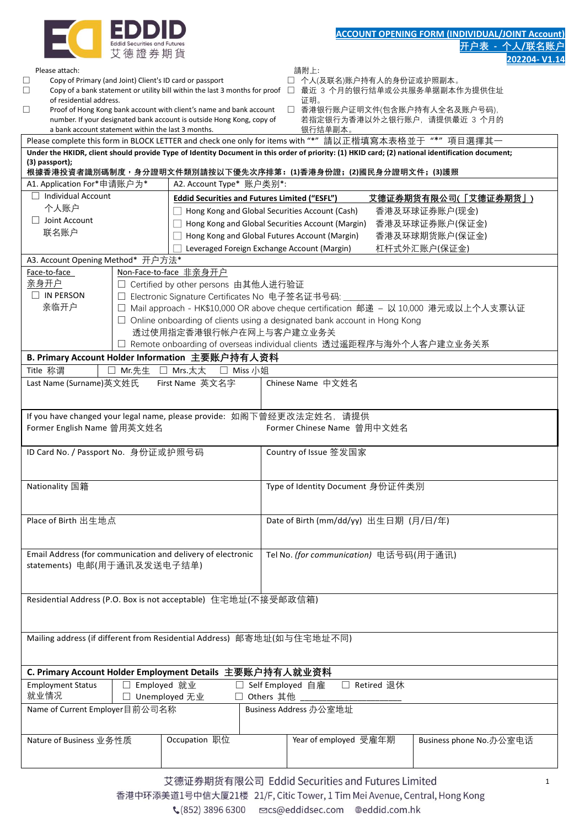| ID<br>ID                                         |
|--------------------------------------------------|
| <b>Eddid Securities and Futures</b><br>德 證 券 期 貨 |

|                                                                                      |                                  |                                                                                                                                              |                                                                                                                                                  |              | 202204-V1.14                                                                         |
|--------------------------------------------------------------------------------------|----------------------------------|----------------------------------------------------------------------------------------------------------------------------------------------|--------------------------------------------------------------------------------------------------------------------------------------------------|--------------|--------------------------------------------------------------------------------------|
| Please attach:<br>Copy of Primary (and Joint) Client's ID card or passport<br>$\Box$ |                                  |                                                                                                                                              | 請附上:<br>□ 个人(及联名)账户持有人的身份证或护照副本。                                                                                                                 |              |                                                                                      |
| $\Box$                                                                               |                                  |                                                                                                                                              | Copy of a bank statement or utility bill within the last 3 months for proof □ 最近 3 个月的银行结单或公共服务单据副本作为提供住址                                        |              |                                                                                      |
| of residential address.                                                              |                                  |                                                                                                                                              | 证明。                                                                                                                                              |              |                                                                                      |
| $\Box$<br>a bank account statement within the last 3 months.                         |                                  | Proof of Hong Kong bank account with client's name and bank account<br>number. If your designated bank account is outside Hong Kong, copy of | 银行结单副本。                                                                                                                                          |              | □ 香港银行账户证明文件(包含账户持有人全名及账户号码),<br>若指定银行为香港以外之银行账户,请提供最近 3 个月的                         |
|                                                                                      |                                  |                                                                                                                                              | Please complete this form in BLOCK LETTER and check one only for items with "*"請以正楷填寫本表格並于"*"項目選擇其一                                              |              |                                                                                      |
|                                                                                      |                                  |                                                                                                                                              | Under the HKIDR, client should provide Type of Identity Document in this order of priority: (1) HKID card; (2) national identification document; |              |                                                                                      |
| (3) passport);                                                                       |                                  |                                                                                                                                              | 根據香港投資者識別碼制度,身分證明文件類別請按以下優先次序排第:(1)香港身份證;(2)國民身分證明文件;(3)護照                                                                                       |              |                                                                                      |
| A1. Application For*申请账户为*                                                           |                                  | A2. Account Type* 账户类别*:                                                                                                                     |                                                                                                                                                  |              |                                                                                      |
| $\Box$ Individual Account                                                            |                                  | <b>Eddid Securities and Futures Limited ("ESFL")</b>                                                                                         |                                                                                                                                                  |              | 艾德证券期货有限公司(「艾德证券期货」)                                                                 |
| 个人账户                                                                                 |                                  |                                                                                                                                              | Hong Kong and Global Securities Account (Cash)                                                                                                   |              | 香港及环球证券账户(现金)                                                                        |
| $\Box$ Joint Account                                                                 |                                  |                                                                                                                                              | Hong Kong and Global Securities Account (Margin)                                                                                                 |              | 香港及环球证券账户(保证金)                                                                       |
| 联名账户                                                                                 |                                  |                                                                                                                                              | Hong Kong and Global Futures Account (Margin)                                                                                                    |              | 香港及环球期货账户(保证金)                                                                       |
|                                                                                      |                                  |                                                                                                                                              | Leveraged Foreign Exchange Account (Margin)                                                                                                      |              | 杠杆式外汇账户(保证金)                                                                         |
| A3. Account Opening Method* 开户方法*<br>Face-to-face                                    |                                  | Non-Face-to-face 非亲身开户                                                                                                                       |                                                                                                                                                  |              |                                                                                      |
| 亲身开户                                                                                 |                                  | □ Certified by other persons 由其他人进行验证                                                                                                        |                                                                                                                                                  |              |                                                                                      |
| $\Box$ IN PERSON                                                                     |                                  | □ Electronic Signature Certificates No 电子签名证书号码:                                                                                             |                                                                                                                                                  |              |                                                                                      |
| 亲临开户                                                                                 |                                  |                                                                                                                                              |                                                                                                                                                  |              | □ Mail approach - HK\$10,000 OR above cheque certification 邮递 – 以 10,000 港元或以上个人支票认证 |
|                                                                                      |                                  |                                                                                                                                              | $\Box$ Online onboarding of clients using a designated bank account in Hong Kong                                                                 |              |                                                                                      |
|                                                                                      |                                  | 透过使用指定香港银行帐户在网上与客户建立业务关                                                                                                                      |                                                                                                                                                  |              |                                                                                      |
|                                                                                      |                                  |                                                                                                                                              | □ Remote onboarding of overseas individual clients 透过遥距程序与海外个人客户建立业务关系                                                                           |              |                                                                                      |
| Title 称谓                                                                             | □ Mr.先生 □ Mrs.太太                 | B. Primary Account Holder Information 主要账户持有人资料                                                                                              |                                                                                                                                                  |              |                                                                                      |
| Last Name (Surname)英文姓氏                                                              |                                  | □ Miss 小姐<br>First Name 英文名字                                                                                                                 | Chinese Name 中文姓名                                                                                                                                |              |                                                                                      |
|                                                                                      |                                  |                                                                                                                                              |                                                                                                                                                  |              |                                                                                      |
|                                                                                      |                                  |                                                                                                                                              |                                                                                                                                                  |              |                                                                                      |
|                                                                                      |                                  |                                                                                                                                              | If you have changed your legal name, please provide: 如阁下曾经更改法定姓名, 请提供                                                                            |              |                                                                                      |
| Former English Name 曾用英文姓名                                                           |                                  |                                                                                                                                              | Former Chinese Name 曾用中文姓名                                                                                                                       |              |                                                                                      |
| ID Card No. / Passport No. 身份证或护照号码                                                  |                                  |                                                                                                                                              | Country of Issue 签发国家                                                                                                                            |              |                                                                                      |
|                                                                                      |                                  |                                                                                                                                              |                                                                                                                                                  |              |                                                                                      |
|                                                                                      |                                  |                                                                                                                                              |                                                                                                                                                  |              |                                                                                      |
| Nationality 国籍                                                                       |                                  |                                                                                                                                              | Type of Identity Document 身份证件类別                                                                                                                 |              |                                                                                      |
|                                                                                      |                                  |                                                                                                                                              |                                                                                                                                                  |              |                                                                                      |
| Place of Birth 出生地点                                                                  |                                  |                                                                                                                                              | Date of Birth (mm/dd/yy) 出生日期 (月/日/年)                                                                                                            |              |                                                                                      |
|                                                                                      |                                  |                                                                                                                                              |                                                                                                                                                  |              |                                                                                      |
|                                                                                      |                                  | Email Address (for communication and delivery of electronic                                                                                  | Tel No. (for communication) 电话号码(用于通讯)                                                                                                           |              |                                                                                      |
| statements) 电邮(用于通讯及发送电子结单)                                                          |                                  |                                                                                                                                              |                                                                                                                                                  |              |                                                                                      |
|                                                                                      |                                  |                                                                                                                                              |                                                                                                                                                  |              |                                                                                      |
|                                                                                      |                                  |                                                                                                                                              |                                                                                                                                                  |              |                                                                                      |
|                                                                                      |                                  | Residential Address (P.O. Box is not acceptable) 住宅地址(不接受邮政信箱)                                                                               |                                                                                                                                                  |              |                                                                                      |
|                                                                                      |                                  |                                                                                                                                              |                                                                                                                                                  |              |                                                                                      |
|                                                                                      |                                  |                                                                                                                                              | Mailing address (if different from Residential Address) 邮寄地址(如与住宅地址不同)                                                                           |              |                                                                                      |
|                                                                                      |                                  |                                                                                                                                              |                                                                                                                                                  |              |                                                                                      |
|                                                                                      |                                  |                                                                                                                                              |                                                                                                                                                  |              |                                                                                      |
|                                                                                      |                                  | C. Primary Account Holder Employment Details 主要账户持有人就业资料                                                                                     |                                                                                                                                                  |              |                                                                                      |
| <b>Employment Status</b><br>就业情况                                                     | □ Employed 就业<br>□ Unemployed 无业 |                                                                                                                                              | □ Self Employed 自雇<br>□ Others 其他                                                                                                                | □ Retired 退休 |                                                                                      |
| Name of Current Employer目前公司名称                                                       |                                  |                                                                                                                                              | Business Address 办公室地址                                                                                                                           |              |                                                                                      |
|                                                                                      |                                  |                                                                                                                                              |                                                                                                                                                  |              |                                                                                      |
|                                                                                      |                                  | Occupation 职位                                                                                                                                | Year of employed 受雇年期                                                                                                                            |              |                                                                                      |
| Nature of Business 业务性质                                                              |                                  |                                                                                                                                              |                                                                                                                                                  |              | Business phone No.办公室电话                                                              |
|                                                                                      |                                  |                                                                                                                                              |                                                                                                                                                  |              |                                                                                      |
|                                                                                      |                                  |                                                                                                                                              | 艾德证券期货有限公司 Eddid Securities and Futures Limited                                                                                                  |              |                                                                                      |
|                                                                                      |                                  |                                                                                                                                              | 香港中环添美道1号中信大厦21楼 21/F, Citic Tower, 1 Tim Mei Avenue, Central, Hong Kong                                                                         |              | 1                                                                                    |
|                                                                                      |                                  |                                                                                                                                              |                                                                                                                                                  |              |                                                                                      |
|                                                                                      |                                  |                                                                                                                                              | ↓(852) 3896 6300  cs@eddidsec.com  @eddid.com.hk                                                                                                 |              |                                                                                      |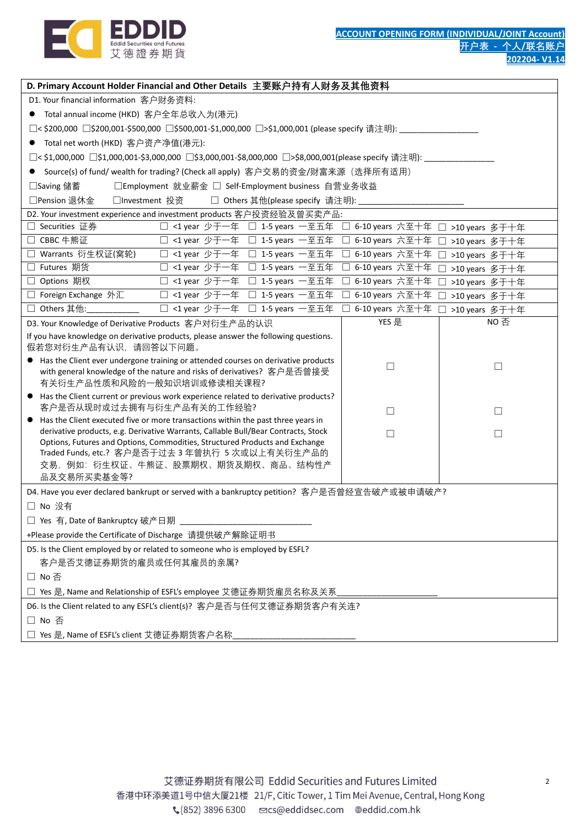

| D. Primary Account Holder Financial and Other Details  主要账户持有人财务及其他资料                                                                                             |                            |                  |
|-------------------------------------------------------------------------------------------------------------------------------------------------------------------|----------------------------|------------------|
| D1. Your financial information 客户财务资料:                                                                                                                            |                            |                  |
| Total annual income (HKD) 客户全年总收入为(港元)                                                                                                                            |                            |                  |
| □< \$200,000 □\$200,001-\$500,000 □\$500,001-\$1,000,000 □>\$1,000,001 (please specify 请注明):_____________                                                         |                            |                  |
| Total net worth (HKD) 客户资产净值(港元):                                                                                                                                 |                            |                  |
| □< \$1,000,000 □\$1,000,001-\$3,000,000 □\$3,000,001-\$8,000,000 □>\$8,000,001(please specify 请注明):_________________                                              |                            |                  |
| Source(s) of fund/ wealth for trading? (Check all apply) 客户交易的资金/财富来源(选择所有适用)                                                                                     |                            |                  |
| □Employment 就业薪金 □ Self-Employment business 自营业务收益<br>□Saving 储蓄                                                                                                  |                            |                  |
| □Pension 退休金<br>□ Others 其他(please specify 请注明):<br>□Investment 投资                                                                                                |                            |                  |
| D2. Your investment experience and investment products 客户投资经验及曾买卖产品:                                                                                              |                            |                  |
| □ <1 year 少于一年 □ 1-5 years 一至五年 □ 6-10 years 六至十年<br>□ Securities 证券                                                                                              |                            | □ >10 years 多于十年 |
| □ CBBC 牛熊证<br>□ <1 year 少于一年 □ 1-5 years 一至五年 □ 6-10 years 六至十年                                                                                                   |                            | □ >10 years 多于十年 |
| □ Warrants 衍生权证(窝轮)<br>□ <1 year 少于一年 □ 1-5 years 一至五年                                                                                                            | 6-10 years 六至十年<br>$\perp$ | □ >10 years 多于十年 |
| □ Futures 期货<br>□ <1 year 少于一年 □ 1-5 years 一至五年                                                                                                                   | 6-10 years 六至十年<br>П       | □ >10 years 多于十年 |
| □ Options 期权<br>□ <1 year 少于一年 □ 1-5 years 一至五年                                                                                                                   | 6-10 years 六至十年<br>⊔       | >10 years 多于十年   |
| □ Foreign Exchange 外汇<br>□ <1 year 少于一年 □ 1-5 years 一至五年                                                                                                          | 6-10 years 六至十年            | >10 years 多于十年   |
| □ Others 其他:<br>□ <1 year 少于一年 □ 1-5 years 一至五年                                                                                                                   | 6-10 years 六至十年            | >10 years 多于十年   |
| D3. Your Knowledge of Derivative Products 客户对衍生产品的认识                                                                                                              | YES 是                      | NO 否             |
| If you have knowledge on derivative products, please answer the following questions.<br>假若您对衍生产品有认识,请回答以下问题。                                                      |                            |                  |
| Has the Client ever undergone training or attended courses on derivative products                                                                                 | □                          | $\Box$           |
| with general knowledge of the nature and risks of derivatives? 客户是否曾接受                                                                                            |                            |                  |
| 有关衍生产品性质和风险的一般知识培训或修读相关课程?                                                                                                                                        |                            |                  |
| Has the Client current or previous work experience related to derivative products?<br>$\bullet$<br>客户是否从现时或过去拥有与衍生产品有关的工作经验?                                      | □                          | $\Box$           |
| Has the Client executed five or more transactions within the past three years in<br>$\bullet$                                                                     |                            |                  |
| derivative products, e.g. Derivative Warrants, Callable Bull/Bear Contracts, Stock<br>Options, Futures and Options, Commodities, Structured Products and Exchange | □                          | $\Box$           |
| Traded Funds, etc.? 客户是否于过去 3 年曾执行 5 次或以上有关衍生产品的                                                                                                                  |                            |                  |
| 交易,例如:衍生权证、牛熊证、股票期权、期货及期权、商品、结构性产                                                                                                                                 |                            |                  |
| 品及交易所买卖基金等?                                                                                                                                                       |                            |                  |
| D4. Have you ever declared bankrupt or served with a bankruptcy petition? 客户是否曾经宣告破产或被申请破产?                                                                       |                            |                  |
| □ No 没有                                                                                                                                                           |                            |                  |
| □ Yes 有, Date of Bankruptcy 破产日期                                                                                                                                  |                            |                  |
| +Please provide the Certificate of Discharge 请提供破产解除证明书                                                                                                           |                            |                  |
| D5. Is the Client employed by or related to someone who is employed by ESFL?                                                                                      |                            |                  |
| 客户是否艾德证券期货的雇员或任何其雇员的亲属?                                                                                                                                           |                            |                  |
| □ No 否                                                                                                                                                            |                            |                  |
| Yes 是, Name and Relationship of ESFL's employee 艾德证券期货雇员名称及关系                                                                                                     |                            |                  |
| D6. Is the Client related to any ESFL's client(s)? 客户是否与任何艾德证券期货客户有关连?                                                                                            |                            |                  |
| □ No 否                                                                                                                                                            |                            |                  |
| □ Yes 是, Name of ESFL's client 艾德证券期货客户名称                                                                                                                         |                            |                  |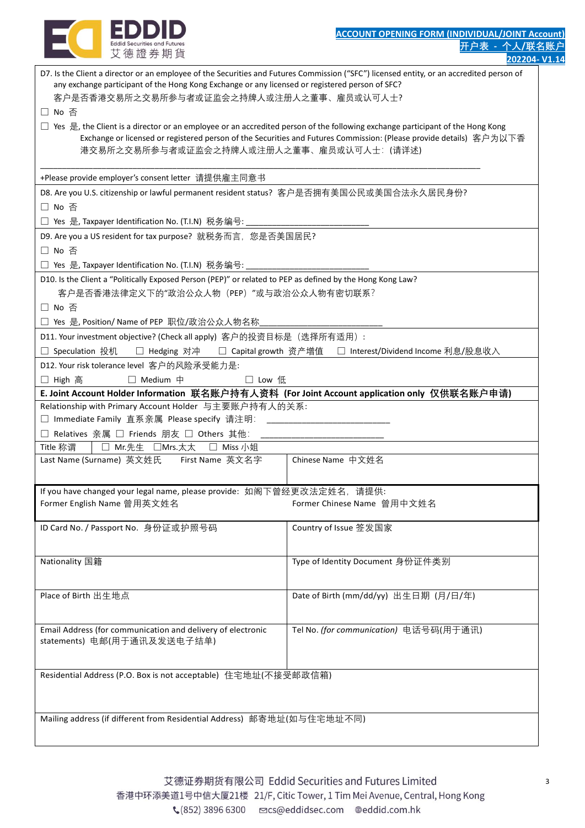

| D7. Is the Client a director or an employee of the Securities and Futures Commission ("SFC") licensed entity, or an accredited person of<br>any exchange participant of the Hong Kong Exchange or any licensed or registered person of SFC? |                                                                                                                     |
|---------------------------------------------------------------------------------------------------------------------------------------------------------------------------------------------------------------------------------------------|---------------------------------------------------------------------------------------------------------------------|
| 客户是否香港交易所之交易所参与者或证监会之持牌人或注册人之董事、雇员或认可人士?                                                                                                                                                                                                    |                                                                                                                     |
| □ No 否                                                                                                                                                                                                                                      |                                                                                                                     |
| □ Yes 是, the Client is a director or an employee or an accredited person of the following exchange participant of the Hong Kong<br>港交易所之交易所参与者或证监会之持牌人或注册人之董事、雇员或认可人士: (请详述)                                                                | Exchange or licensed or registered person of the Securities and Futures Commission: (Please provide details) 客户为以下香 |
| +Please provide employer's consent letter  请提供雇主同意书                                                                                                                                                                                         |                                                                                                                     |
| D8. Are you U.S. citizenship or lawful permanent resident status? 客户是否拥有美国公民或美国合法永久居民身份?                                                                                                                                                    |                                                                                                                     |
| □ No 否                                                                                                                                                                                                                                      |                                                                                                                     |
| □ Yes 是, Taxpayer Identification No. (T.I.N) 税务编号:                                                                                                                                                                                          |                                                                                                                     |
| D9. Are you a US resident for tax purpose? 就税务而言, 您是否美国居民?                                                                                                                                                                                  |                                                                                                                     |
| □ No 否                                                                                                                                                                                                                                      |                                                                                                                     |
| □ Yes 是, Taxpayer Identification No. (T.I.N) 税务编号: _________                                                                                                                                                                                |                                                                                                                     |
| D10. Is the Client a "Politically Exposed Person (PEP)" or related to PEP as defined by the Hong Kong Law?<br>客户是否香港法律定义下的"政治公众人物 (PEP) "或与政治公众人物有密切联系?                                                                                     |                                                                                                                     |
| □ No 否                                                                                                                                                                                                                                      |                                                                                                                     |
| □ Yes 是, Position/ Name of PEP 职位/政治公众人物名称                                                                                                                                                                                                  |                                                                                                                     |
| D11. Your investment objective? (Check all apply)  客户的投资目标是(选择所有适用):                                                                                                                                                                        |                                                                                                                     |
| Speculation 投机<br>$\Box$                                                                                                                                                                                                                    | □ Hedging 对冲  □ Capital growth 资产增值  □ Interest/Dividend Income 利息/股息收入                                             |
| D12. Your risk tolerance level 客户的风险承受能力是:                                                                                                                                                                                                  |                                                                                                                     |
| $\Box$ Medium $\uparrow$<br>□ High 高<br>□ Low 低                                                                                                                                                                                             |                                                                                                                     |
| E. Joint Account Holder Information  联名账户持有人资料  (For Joint Account application only  仅供联名账户申请)                                                                                                                                              |                                                                                                                     |
| Relationship with Primary Account Holder 与主要账户持有人的关系:                                                                                                                                                                                       |                                                                                                                     |
| □ Immediate Family 直系亲属 Please specify 请注明:                                                                                                                                                                                                 |                                                                                                                     |
| □ Relatives 亲属 □ Friends 朋友 □ Others 其他:                                                                                                                                                                                                    |                                                                                                                     |
| Title 称谓<br>□ Mr.先生 □Mrs.太太<br>□ Miss 小姐                                                                                                                                                                                                    |                                                                                                                     |
| Last Name (Surname) 英文姓氏 First Name 英文名字                                                                                                                                                                                                    | Chinese Name 中文姓名                                                                                                   |
|                                                                                                                                                                                                                                             |                                                                                                                     |
| If you have changed your legal name, please provide: 如阁下曾经更改法定姓名, 请提供:                                                                                                                                                                      |                                                                                                                     |
| Former English Name 曾用英文姓名                                                                                                                                                                                                                  | Former Chinese Name 曾用中文姓名                                                                                          |
| ID Card No. / Passport No. 身份证或护照号码                                                                                                                                                                                                         | Country of Issue 签发国家                                                                                               |
|                                                                                                                                                                                                                                             |                                                                                                                     |
| Nationality 国籍                                                                                                                                                                                                                              |                                                                                                                     |
|                                                                                                                                                                                                                                             | Type of Identity Document 身份证件类别                                                                                    |
|                                                                                                                                                                                                                                             |                                                                                                                     |
| Place of Birth 出生地点                                                                                                                                                                                                                         | Date of Birth (mm/dd/yy) 出生日期 (月/日/年)                                                                               |
|                                                                                                                                                                                                                                             |                                                                                                                     |
| Email Address (for communication and delivery of electronic                                                                                                                                                                                 | Tel No. (for communication) 电话号码(用于通讯)                                                                              |
| statements) 电邮(用于通讯及发送电子结单)                                                                                                                                                                                                                 |                                                                                                                     |
|                                                                                                                                                                                                                                             |                                                                                                                     |
| Residential Address (P.O. Box is not acceptable) 住宅地址(不接受邮政信箱)                                                                                                                                                                              |                                                                                                                     |
|                                                                                                                                                                                                                                             |                                                                                                                     |
|                                                                                                                                                                                                                                             |                                                                                                                     |
| Mailing address (if different from Residential Address) 邮寄地址(如与住宅地址不同)                                                                                                                                                                      |                                                                                                                     |
|                                                                                                                                                                                                                                             |                                                                                                                     |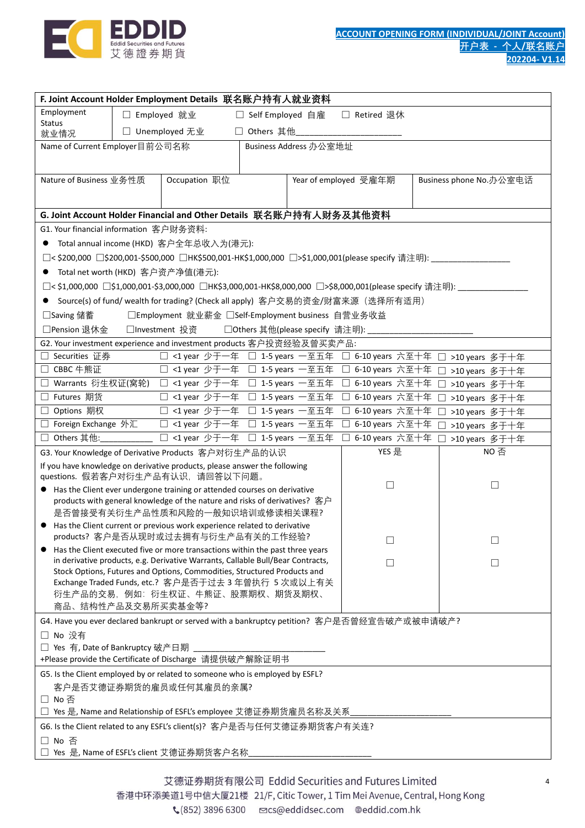

|                                             |               | F. Joint Account Holder Employment Details  联名账户持有人就业资料                                                                   |                    |                                  |                            |                                                                                                         |
|---------------------------------------------|---------------|---------------------------------------------------------------------------------------------------------------------------|--------------------|----------------------------------|----------------------------|---------------------------------------------------------------------------------------------------------|
| Employment                                  | □ Employed 就业 |                                                                                                                           | □ Self Employed 自雇 |                                  | □ Retired 退休               |                                                                                                         |
| <b>Status</b>                               |               | □ Unemployed 无业                                                                                                           | □ Others 其他        |                                  |                            |                                                                                                         |
| 就业情况<br>Name of Current Employer目前公司名称      |               |                                                                                                                           |                    | Business Address 办公室地址           |                            |                                                                                                         |
|                                             |               |                                                                                                                           |                    |                                  |                            |                                                                                                         |
|                                             |               |                                                                                                                           |                    |                                  |                            |                                                                                                         |
| Nature of Business 业务性质                     |               | Occupation 职位                                                                                                             |                    |                                  | Year of employed 受雇年期      | Business phone No.办公室电话                                                                                 |
|                                             |               |                                                                                                                           |                    |                                  |                            |                                                                                                         |
|                                             |               | G. Joint Account Holder Financial and Other Details  联名账户持有人财务及其他资料                                                       |                    |                                  |                            |                                                                                                         |
| G1. Your financial information 客户财务资料:      |               |                                                                                                                           |                    |                                  |                            |                                                                                                         |
|                                             |               | Total annual income (HKD) 客户全年总收入为(港元):                                                                                   |                    |                                  |                            |                                                                                                         |
|                                             |               | □<\$200,000 □\$200,001-\$500,000 □HK\$500,001-HK\$1,000,000 □>\$1,000,001(please specify 请注明): _________                  |                    |                                  |                            |                                                                                                         |
| Total net worth (HKD) 客户资产净值(港元):           |               |                                                                                                                           |                    |                                  |                            |                                                                                                         |
|                                             |               |                                                                                                                           |                    |                                  |                            | □< \$1,000,000 □\$1,000,001-\$3,000,000 □HK\$3,000,001-HK\$8,000,000 □>\$8,000,001(please specify 请注明): |
|                                             |               |                                                                                                                           |                    |                                  |                            |                                                                                                         |
|                                             |               | Source(s) of fund/ wealth for trading? (Check all apply) 客户交易的资金/财富来源(选择所有适用)                                             |                    |                                  |                            |                                                                                                         |
| □Saving 储蓄                                  |               | □Employment 就业薪金 □Self-Employment business 自营业务收益                                                                         |                    |                                  |                            |                                                                                                         |
| □Pension 退休金                                |               | □Investment 投资                                                                                                            |                    | □ Others 其他(please specify 请注明): |                            |                                                                                                         |
| □ Securities 证券                             |               | G2. Your investment experience and investment products 客户投资经验及曾买卖产品:<br>□ <1 year 少于一年 □ 1-5 years 一至五年 □ 6-10 years 六至十年 |                    |                                  |                            | □ >10 years 多于十年                                                                                        |
| □ CBBC 牛熊证                                  |               | □ <1 year 少于一年 □ 1-5 years 一至五年 □ 6-10 years 六至十年                                                                         |                    |                                  |                            |                                                                                                         |
| Warrants 衍生权证(窝轮)<br>⊔                      |               | □ <1 year 少于一年 □ 1-5 years 一至五年 □ 6-10 years 六至十年                                                                         |                    |                                  |                            | >10 years 多于十年<br>>10 years 多于十年                                                                        |
| □ Futures 期货                                |               | □ <1 year 少于一年 □ 1-5 years 一至五年                                                                                           |                    |                                  | □ 6-10 years 六至十年          | >10 years 多于十年                                                                                          |
| Options 期权<br>$\Box$                        |               | □ <1 year 少于一年 □ 1-5 years 一至五年                                                                                           |                    |                                  | 6-10 years 六至十年<br>$\perp$ | >10 years 多于十年                                                                                          |
| □ Foreign Exchange 外汇                       |               | □ <1 year 少于一年 □ 1-5 years 一至五年                                                                                           |                    |                                  | □ 6-10 years 六至十年          |                                                                                                         |
| Others 其他:<br>$\Box$                        |               | □ <1 year 少于一年 □ 1-5 years 一至五年                                                                                           |                    |                                  | 6-10 years 六至十年            | >10 years 多于十年<br>>10 years 多于十年                                                                        |
|                                             |               | G3. Your Knowledge of Derivative Products 客户对衍生产品的认识                                                                      |                    |                                  | YES 是                      | NO 否                                                                                                    |
|                                             |               | If you have knowledge on derivative products, please answer the following                                                 |                    |                                  |                            |                                                                                                         |
|                                             |               | questions. 假若客户对衍生产品有认识, 请回答以下问题。                                                                                         |                    |                                  |                            |                                                                                                         |
|                                             |               | Has the Client ever undergone training or attended courses on derivative                                                  |                    |                                  | ⊔                          | $\Box$                                                                                                  |
|                                             |               | products with general knowledge of the nature and risks of derivatives? 客户                                                |                    |                                  |                            |                                                                                                         |
|                                             |               | 是否曾接受有关衍生产品性质和风险的一般知识培训或修读相关课程?                                                                                           |                    |                                  |                            |                                                                                                         |
|                                             |               | Has the Client current or previous work experience related to derivative                                                  |                    |                                  |                            |                                                                                                         |
|                                             |               | products? 客户是否从现时或过去拥有与衍生产品有关的工作经验?<br>Has the Client executed five or more transactions within the past three years      |                    |                                  |                            |                                                                                                         |
|                                             |               | in derivative products, e.g. Derivative Warrants, Callable Bull/Bear Contracts,                                           |                    |                                  |                            | $\vert \ \ \vert$                                                                                       |
|                                             |               | Stock Options, Futures and Options, Commodities, Structured Products and                                                  |                    |                                  |                            |                                                                                                         |
|                                             |               | Exchange Traded Funds, etc.? 客户是否于过去 3 年曾执行 5 次或以上有关                                                                      |                    |                                  |                            |                                                                                                         |
| 商品、结构性产品及交易所买卖基金等?                          |               | 衍生产品的交易,例如: 衍生权证、牛熊证、股票期权、期货及期权、                                                                                          |                    |                                  |                            |                                                                                                         |
|                                             |               |                                                                                                                           |                    |                                  |                            |                                                                                                         |
|                                             |               | G4. Have you ever declared bankrupt or served with a bankruptcy petition? 客户是否曾经宣告破产或被申请破产?                               |                    |                                  |                            |                                                                                                         |
| □ No 没有<br>□ Yes 有, Date of Bankruptcy 破产日期 |               |                                                                                                                           |                    |                                  |                            |                                                                                                         |
|                                             |               | +Please provide the Certificate of Discharge 请提供破产解除证明书                                                                   |                    |                                  |                            |                                                                                                         |
|                                             |               | G5. Is the Client employed by or related to someone who is employed by ESFL?                                              |                    |                                  |                            |                                                                                                         |
|                                             |               | 客户是否艾德证券期货的雇员或任何其雇员的亲属?                                                                                                   |                    |                                  |                            |                                                                                                         |
| □ No 否                                      |               |                                                                                                                           |                    |                                  |                            |                                                                                                         |
|                                             |               | Yes 是, Name and Relationship of ESFL's employee 艾德证券期货雇员名称及关系                                                             |                    |                                  |                            |                                                                                                         |
|                                             |               | G6. Is the Client related to any ESFL's client(s)? 客户是否与任何艾德证券期货客户有关连?                                                    |                    |                                  |                            |                                                                                                         |
| □ No 否                                      |               |                                                                                                                           |                    |                                  |                            |                                                                                                         |
|                                             |               | Yes 是, Name of ESFL's client 艾德证券期货客户名称                                                                                   |                    |                                  |                            |                                                                                                         |
|                                             |               |                                                                                                                           |                    |                                  |                            |                                                                                                         |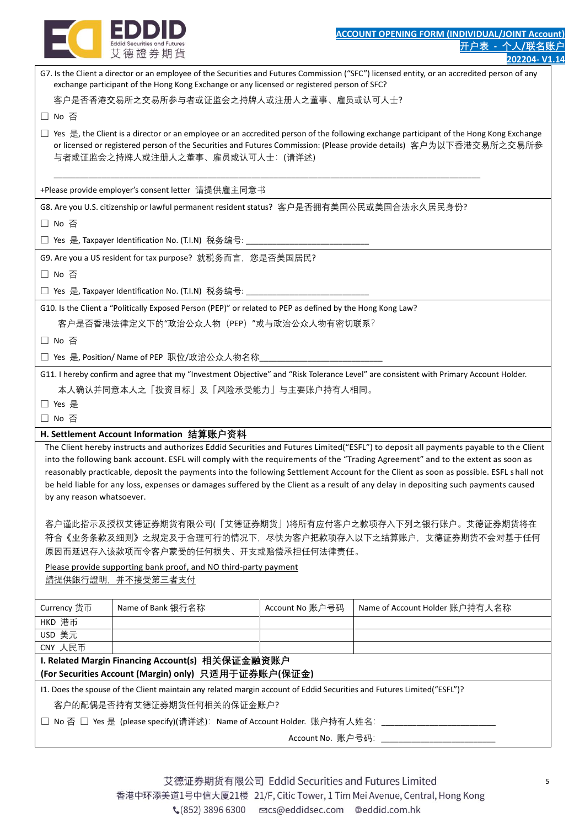

|                           | cuala securities and ruture.<br>艾德證券期貨                                                                                                                                                                                                                                                              |                   |                                | ·尸表 - 个人/联名账 |
|---------------------------|-----------------------------------------------------------------------------------------------------------------------------------------------------------------------------------------------------------------------------------------------------------------------------------------------------|-------------------|--------------------------------|--------------|
|                           |                                                                                                                                                                                                                                                                                                     |                   |                                | 202204-V1    |
|                           | G7. Is the Client a director or an employee of the Securities and Futures Commission ("SFC") licensed entity, or an accredited person of any<br>exchange participant of the Hong Kong Exchange or any licensed or registered person of SFC?                                                         |                   |                                |              |
|                           | 客户是否香港交易所之交易所参与者或证监会之持牌人或注册人之董事、雇员或认可人士?                                                                                                                                                                                                                                                            |                   |                                |              |
| □ No 否                    |                                                                                                                                                                                                                                                                                                     |                   |                                |              |
|                           | □ Yes 是, the Client is a director or an employee or an accredited person of the following exchange participant of the Hong Kong Exchange<br>or licensed or registered person of the Securities and Futures Commission: (Please provide details) 客户为以下香港交易所之交易所参<br>与者或证监会之持牌人或注册人之董事、雇员或认可人士: (请详述) |                   |                                |              |
|                           | +Please provide employer's consent letter 请提供雇主同意书                                                                                                                                                                                                                                                  |                   |                                |              |
|                           | G8. Are you U.S. citizenship or lawful permanent resident status? 客户是否拥有美国公民或美国合法永久居民身份?                                                                                                                                                                                                            |                   |                                |              |
| □ No 否                    |                                                                                                                                                                                                                                                                                                     |                   |                                |              |
|                           | □ Yes 是, Taxpayer Identification No. (T.I.N) 税务编号: ________                                                                                                                                                                                                                                         |                   |                                |              |
|                           | G9. Are you a US resident for tax purpose? 就税务而言, 您是否美国居民?                                                                                                                                                                                                                                          |                   |                                |              |
| □ No 否                    |                                                                                                                                                                                                                                                                                                     |                   |                                |              |
|                           | □ Yes 是, Taxpayer Identification No. (T.I.N) 税务编号:                                                                                                                                                                                                                                                  |                   |                                |              |
|                           | G10. Is the Client a "Politically Exposed Person (PEP)" or related to PEP as defined by the Hong Kong Law?                                                                                                                                                                                          |                   |                                |              |
|                           | 客户是否香港法律定义下的"政治公众人物 (PEP) "或与政治公众人物有密切联系?                                                                                                                                                                                                                                                           |                   |                                |              |
| □ No 否                    |                                                                                                                                                                                                                                                                                                     |                   |                                |              |
|                           | □ Yes 是, Position/ Name of PEP 职位/政治公众人物名称                                                                                                                                                                                                                                                          |                   |                                |              |
|                           | G11. I hereby confirm and agree that my "Investment Objective" and "Risk Tolerance Level" are consistent with Primary Account Holder.                                                                                                                                                               |                   |                                |              |
|                           | 本人确认并同意本人之「投资目标」及「风险承受能力」与主要账户持有人相同。                                                                                                                                                                                                                                                                |                   |                                |              |
| □ Yes 是<br>□ No 否         |                                                                                                                                                                                                                                                                                                     |                   |                                |              |
|                           | H. Settlement Account Information 结算账户资料                                                                                                                                                                                                                                                            |                   |                                |              |
|                           | The Client hereby instructs and authorizes Eddid Securities and Futures Limited("ESFL") to deposit all payments payable to the Client                                                                                                                                                               |                   |                                |              |
|                           | into the following bank account. ESFL will comply with the requirements of the "Trading Agreement" and to the extent as soon as                                                                                                                                                                     |                   |                                |              |
|                           | reasonably practicable, deposit the payments into the following Settlement Account for the Client as soon as possible. ESFL shall not                                                                                                                                                               |                   |                                |              |
|                           | be held liable for any loss, expenses or damages suffered by the Client as a result of any delay in depositing such payments caused                                                                                                                                                                 |                   |                                |              |
| by any reason whatsoever. |                                                                                                                                                                                                                                                                                                     |                   |                                |              |
|                           | 客户谨此指示及授权艾德证券期货有限公司(「艾德证券期货」)将所有应付客户之款项存入下列之银行账户。艾德证券期货将在                                                                                                                                                                                                                                           |                   |                                |              |
|                           | 符合《业务条款及细则》之规定及于合理可行的情况下,尽快为客户把款项存入以下之结算账户,艾德证券期货不会对基于任何                                                                                                                                                                                                                                            |                   |                                |              |
|                           | 原因而延迟存入该款项而令客户蒙受的任何损失、开支或赔偿承担任何法律责任。                                                                                                                                                                                                                                                                |                   |                                |              |
|                           | Please provide supporting bank proof, and NO third-party payment                                                                                                                                                                                                                                    |                   |                                |              |
|                           | 請提供銀行證明,并不接受第三者支付                                                                                                                                                                                                                                                                                   |                   |                                |              |
| Currency 货币               | Name of Bank 银行名称                                                                                                                                                                                                                                                                                   | Account No 账户号码   | Name of Account Holder 账户持有人名称 |              |
| HKD 港币                    |                                                                                                                                                                                                                                                                                                     |                   |                                |              |
| USD 美元                    |                                                                                                                                                                                                                                                                                                     |                   |                                |              |
| CNY 人民币                   | I. Related Margin Financing Account(s) 相关保证金融资账户                                                                                                                                                                                                                                                    |                   |                                |              |
|                           | (For Securities Account (Margin) only) 只适用于证券账户(保证金)                                                                                                                                                                                                                                                |                   |                                |              |
|                           | 11. Does the spouse of the Client maintain any related margin account of Eddid Securities and Futures Limited("ESFL")?                                                                                                                                                                              |                   |                                |              |
|                           | 客户的配偶是否持有艾德证券期货任何相关的保证金账户?                                                                                                                                                                                                                                                                          |                   |                                |              |
|                           | □ No 否 □ Yes 是 (please specify)(请详述)∶ Name of Account Holder. 账户持有人姓名∶ ________                                                                                                                                                                                                                     |                   |                                |              |
|                           |                                                                                                                                                                                                                                                                                                     | Account No. 账户号码: |                                |              |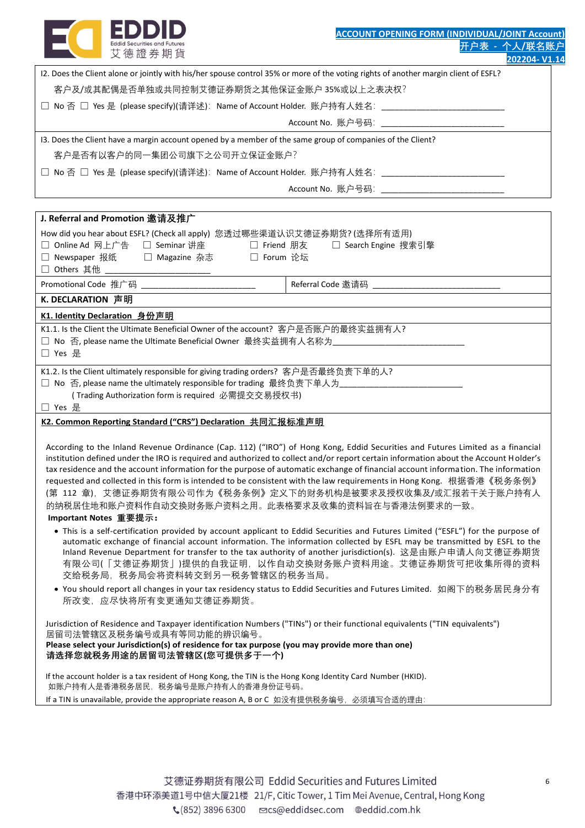

| 12. Does the Client alone or jointly with his/her spouse control 35% or more of the voting rights of another margin client of ESFL? |
|-------------------------------------------------------------------------------------------------------------------------------------|
| 客户及/或其配偶是否单独或共同控制艾德证券期货之其他保证金账户 35%或以上之表决权?                                                                                         |
| □ No 否 □ Yes 是 (please specify)(请详述):Name of Account Holder.  账户持有人姓名: ___________                                                  |
| Account No. 账户号码: ____________________________                                                                                      |
| 13. Does the Client have a margin account opened by a member of the same group of companies of the Client?                          |
| 客户是否有以客户的同一集团公司旗下之公司开立保证金账户?                                                                                                        |
| □ No 否 □ Yes 是 (please specify)(请详述): Name of Account Holder. 账户持有人姓名: ___________                                                  |
| Account No. 账户号码: ___________________________                                                                                       |
|                                                                                                                                     |
| J. Referral and Promotion 邀请及推广                                                                                                     |
| How did you hear about ESFL? (Check all apply) 您透过哪些渠道认识艾德证券期货? (选择所有适用)                                                            |
| Online Ad 网上广告 □ Seminar 讲座      □ Friend 朋友    □ Search Engine 搜索引擎<br>П                                                           |
| □ Newspaper 报纸 □ Magazine 杂志 □ Forum 论坛                                                                                             |
| Others 其他 しんじょう しょうしょう<br>$\perp$                                                                                                   |
|                                                                                                                                     |

Promotional Code 推广码 \_\_\_\_\_\_\_\_\_\_\_\_\_\_\_\_\_\_\_\_\_\_\_\_\_\_ Referral Code 邀请码 \_\_\_\_\_\_\_\_\_\_\_\_\_\_\_\_\_\_\_\_\_\_\_\_\_\_\_\_\_

## **K. DECLARATION 声明**

### **K1. Identity Declaration 身份声明**

| K1.1. Is the Client the Ultimate Beneficial Owner of the account? 客户是否账户的最终实益拥有人? |  |
|-----------------------------------------------------------------------------------|--|
|                                                                                   |  |

| K1.2. Is the Client ultimately responsible for giving trading orders? 客户是否最终负责下单的人? |  |
|-------------------------------------------------------------------------------------|--|

□ No 否, please name the ultimately responsible for trading 最终负责下单人为

( Trading Authorization form is required 必需提交交易授权书)

### □ Yes 是

# **K2. Common Reporting Standard ("CRS") Declaration 共同汇报标准声明**

According to the Inland Revenue Ordinance (Cap. 112) ("IRO") of Hong Kong, Eddid Securities and Futures Limited as a financial institution defined under the IRO is required and authorized to collect and/or report certain information about the Account Holder's tax residence and the account information for the purpose of automatic exchange of financial account information. The information requested and collected in this form is intended to be consistent with the law requirements in Hong Kong. 根据香港《税务条例》 (第 112 章),艾德证券期货有限公司作为《税务条例》定义下的财务机构是被要求及授权收集及/或汇报若干关于账户持有人 的纳税居住地和账户资料作自动交换财务账户资料之用。此表格要求及收集的资料旨在与香港法例要求的一致。

## **Important Notes 重要提示:**

- This is a self-certification provided by account applicant to Eddid Securities and Futures Limited ("ESFL") for the purpose of automatic exchange of financial account information. The information collected by ESFL may be transmitted by ESFL to the Inland Revenue Department for transfer to the tax authority of another jurisdiction(s). 这是由账户申请人向艾德证券期货 有限公司(「艾德证券期货」)提供的自我证明,以作自动交换财务账户资料用途。艾德证券期货可把收集所得的资料 交给税务局,税务局会将资料转交到另一税务管辖区的税务当局。
- You should report all changes in your tax residency status to Eddid Securities and Futures Limited. 如阁下的税务居民身分有 所改变,应尽快将所有变更通知艾德证券期货。

Jurisdiction of Residence and Taxpayer identification Numbers ("TINs") or their functional equivalents ("TIN equivalents") 居留司法管辖区及税务编号或具有等同功能的辨识编号。 **Please select your Jurisdiction(s) of residence for tax purpose (you may provide more than one) 请选择您就税务用途的居留司法管辖区(您可提供多于一个)**

If the account holder is a tax resident of Hong Kong, the TIN is the Hong Kong Identity Card Number (HKID). 如账户持有人是香港税务居民,税务编号是账户持有人的香港身份证号码。 If a TIN is unavailable, provide the appropriate reason A, B or C 如没有提供税务编号, 必须填写合适的理由: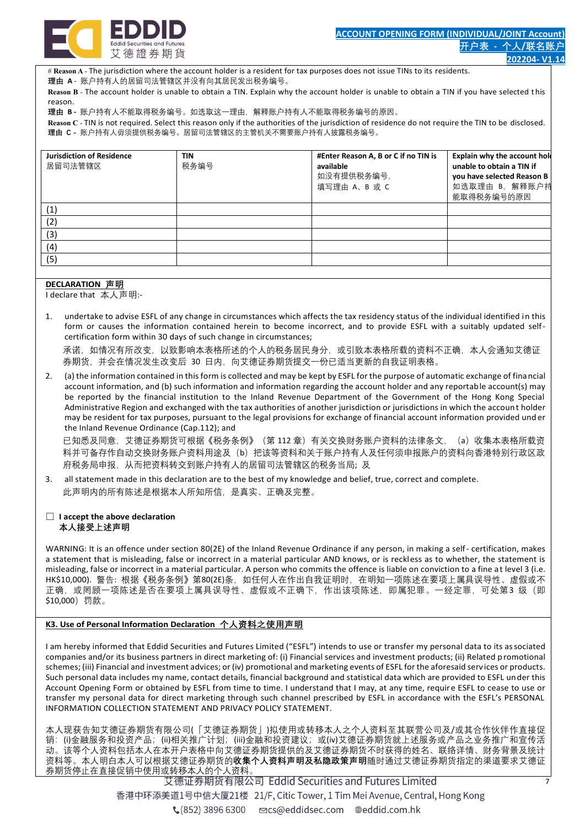

# **Reason A** - The jurisdiction where the account holder is a resident for tax purposes does not issue TINs to its residents. **理由 A** - 账户持有人的居留司法管辖区并没有向其居民发出税务编号。

**Reason B** - The account holder is unable to obtain a TIN. Explain why the account holder is unable to obtain a TIN if you have selected t his reason.

**理由 B -** 账户持有人不能取得税务编号。如选取这一理由,解释账户持有人不能取得税务编号的原因。

**Reason C** - TIN is not required. Select this reason only if the authorities of the jurisdiction of residence do not require the TIN to be disclosed. **理由 C -** 账户持有人毋须提供税务编号。居留司法管辖区的主管机关不需要账户持有人披露税务编号。

| <b>Jurisdiction of Residence</b><br>居留司法管辖区 | <b>TIN</b><br>税务编号 | #Enter Reason A, B or C if no TIN is<br>available<br>如没有提供税务编号,<br>填写理由 A、B 或 C | Explain why the account hold<br>unable to obtain a TIN if<br>you have selected Reason B<br>如选取理由 B, 解释账户持<br>能取得税务编号的原因 |
|---------------------------------------------|--------------------|---------------------------------------------------------------------------------|-------------------------------------------------------------------------------------------------------------------------|
| (1)                                         |                    |                                                                                 |                                                                                                                         |
| (2)                                         |                    |                                                                                 |                                                                                                                         |
| (3)                                         |                    |                                                                                 |                                                                                                                         |
| (4)                                         |                    |                                                                                 |                                                                                                                         |
| (5)                                         |                    |                                                                                 |                                                                                                                         |

#### **DECLARATION 声明**

I declare that 本人声明:-

1. undertake to advise ESFL of any change in circumstances which affects the tax residency status of the individual identified in this form or causes the information contained herein to become incorrect, and to provide ESFL with a suitably updated selfcertification form within 30 days of such change in circumstances;

承诺,如情况有所改变,以致影响本表格所述的个人的税务居民身分,或引致本表格所载的资料不正确,本人会通知艾德证 券期货,并会在情况发生改变后 30 日内,向艾德证券期货提交一份已适当更新的自我证明表格。

2. (a) the information contained in this form is collected and may be kept by ESFL for the purpose of automatic exchange of financial account information, and (b) such information and information regarding the account holder and any reportable account(s) may be reported by the financial institution to the Inland Revenue Department of the Government of the Hong Kong Special Administrative Region and exchanged with the tax authorities of another jurisdiction or jurisdictions in which the account holder may be resident for tax purposes, pursuant to the legal provisions for exchange of financial account information provided und er the Inland Revenue Ordinance (Cap.112); and

已知悉及同意,艾德证券期货可根据《税务条例》(第 112 章)有关交换财务账户资料的法律条文,(a)收集本表格所载资 料并可备存作自动交换财务账户资料用途及(b)把该等资料和关于账户持有人及任何须申报账户的资料向香港特别行政区政 府税务局申报,从而把资料转交到账户持有人的居留司法管辖区的税务当局; 及

3. all statement made in this declaration are to the best of my knowledge and belief, true, correct and complete. 此声明内的所有陈述是根据本人所知所信,是真实、正确及完整。

#### □ **I accept the above declaration 本人接受上述声明**

WARNING: It is an offence under section 80(2E) of the Inland Revenue Ordinance if any person, in making a self- certification, makes a statement that is misleading, false or incorrect in a material particular AND knows, or is reckless as to whether, the statement is misleading, false or incorrect in a material particular. A person who commits the offence is liable on conviction to a fine at level 3 (i.e. HK\$10,000). 警告: 根据《税务条例》第80(2E)条, 如任何人在作出自我证明时, 在明知一项陈述在要项上属具误导性、虚假或不 正确,或罔顾一项陈述是否在要项上属具误导性、虚假或不正确下,作出该项陈述,即属犯罪。一经定罪,可处第3级(即 \$10,000)罚款。

#### **K3. Use of Personal Information Declaration 个人资料之使用声明**

I am hereby informed that Eddid Securities and Futures Limited ("ESFL") intends to use or transfer my personal data to its associated companies and/or its business partners in direct marketing of: (i) Financial services and investment products; (ii) Related promotional schemes; (iii) Financial and investment advices; or (iv) promotional and marketing events of ESFL for the aforesaid serv ices or products. Such personal data includes my name, contact details, financial background and statistical data which are provided to ESFL under this Account Opening Form or obtained by ESFL from time to time. I understand that I may, at any time, require ESFL to cease to use or transfer my personal data for direct marketing through such channel prescribed by ESFL in accordance with the ESFL's PERSONAL INFORMATION COLLECTION STATEMENT AND PRIVACY POLICY STATEMENT.

本人现获告知艾德证券期货有限公司(「艾德证券期货」)拟使用或转移本人之个人资料至其联营公司及/或其合作伙伴作直接促 销: (i)金融服务和投资产品; (ii)相关推广计划; (iii)金融和投资建议; 或(iv)艾德证券期货就上述服务或产品之业务推广和宣传活 动。该等个人资料包括本人在本开户表格中向艾德证券期货提供的及艾德证券期货不时获得的姓名、联络详情、财务背景及统计 资料等。本人明白本人可以根据艾德证券期货的**收集个人资料声明及私隐政策声明**随时通过艾德证券期货指定的渠道要求艾德证 券期货停止在直接促销中使用或转移本人的个人资料。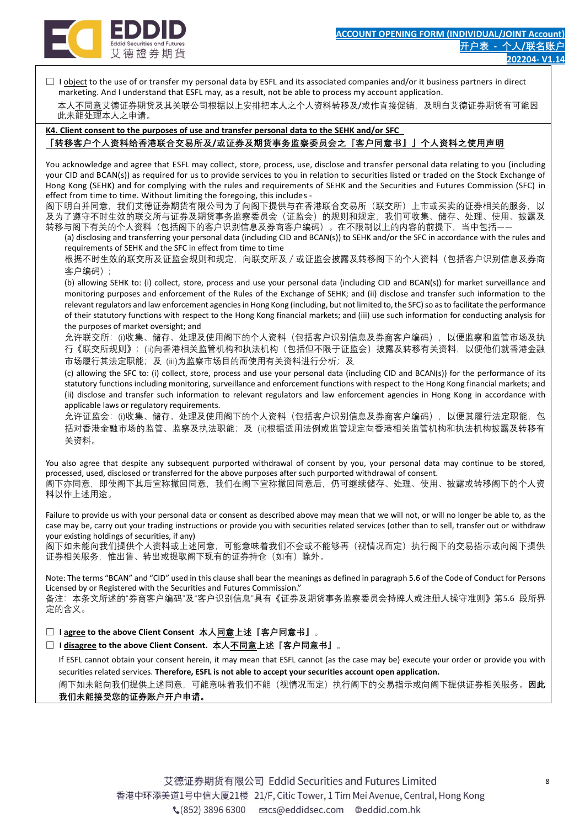

 $\Box$  I object to the use of or transfer my personal data by ESFL and its associated companies and/or it business partners in direct marketing. And I understand that ESFL may, as a result, not be able to process my account application.

本人不同意艾德证券期货及其关联公司根据以上安排把本人之个人资料转移及/或作直接促销,及明白艾德证券期货有可能因 此未能处理本人之申请。

**K4. Client consent to the purposes of use and transfer personal data to the SEHK and/or SFC**

## **「转移客户个人资料给香港联合交易所及/或证券及期货事务监察委员会之『客户同意书』」个人资料之使用声明**

You acknowledge and agree that ESFL may collect, store, process, use, disclose and transfer personal data relating to you (including your CID and BCAN(s)) as required for us to provide services to you in relation to securities listed or traded on the Stock Exchange of Hong Kong (SEHK) and for complying with the rules and requirements of SEHK and the Securities and Futures Commission (SFC) in effect from time to time. Without limiting the foregoing, this includes -

阁下明白并同意,我们艾德证券期货有限公司为了向阁下提供与在香港联合交易所(联交所)上市或买卖的证券相关的服务,以 及为了遵守不时生效的联交所与证券及期货事务监察委员会(证监会)的规则和规定,我们可收集、储存、处理、使用、披露及 转移与阁下有关的个人资料(包括阁下的客户识别信息及券商客户编码)。在不限制以上的内容的前提下,当中包括――

(a) disclosing and transferring your personal data (including CID and BCAN(s)) to SEHK and/or the SFC in accordance with the rules and requirements of SEHK and the SFC in effect from time to time

根据不时生效的联交所及证监会规则和规定,向联交所及/或证监会披露及转移阁下的个人资料(包括客户识别信息及券商 客户编码);

(b) allowing SEHK to: (i) collect, store, process and use your personal data (including CID and BCAN(s)) for market surveillance and monitoring purposes and enforcement of the Rules of the Exchange of SEHK; and (ii) disclose and transfer such information to the relevant regulators and law enforcement agencies in Hong Kong (including, but not limited to, the SFC) so as to facilitate the performance of their statutory functions with respect to the Hong Kong financial markets; and (iii) use such information for conducting analysis for the purposes of market oversight; and

允许联交所:(i)收集、储存、处理及使用阁下的个人资料(包括客户识别信息及券商客户编码),以便监察和监管市场及执 行《联交所规则》;(ii)向香港相关监管机构和执法机构(包括但不限于证监会)披露及转移有关资料,以便他们就香港金融 市场履行其法定职能;及 (iii)为监察市场目的而使用有关资料进行分析; 及

(c) allowing the SFC to: (i) collect, store, process and use your personal data (including CID and BCAN(s)) for the performance of its statutory functions including monitoring, surveillance and enforcement functions with respect to the Hong Kong financial markets; and (ii) disclose and transfer such information to relevant regulators and law enforcement agencies in Hong Kong in accordance with applicable laws or regulatory requirements.

允许证监会:(i)收集、储存、处理及使用阁下的个人资料(包括客户识别信息及券商客户编码),以便其履行法定职能,包 括对香港金融市场的监管、监察及执法职能;及 (ii)根据适用法例或监管规定向香港相关监管机构和执法机构披露及转移有 关资料。

You also agree that despite any subsequent purported withdrawal of consent by you, your personal data may continue to be stored, processed, used, disclosed or transferred for the above purposes after such purported withdrawal of consent. 阁下亦同意,即使阁下其后宣称撤回同意,我们在阁下宣称撤回同意后,仍可继续储存、处理、使用、披露或转移阁下的个人资 料以作上述用途。

Failure to provide us with your personal data or consent as described above may mean that we will not, or will no longer be able to, as the case may be, carry out your trading instructions or provide you with securities related services (other than to sell, transfer out or withdraw your existing holdings of securities, if any)

阁下如未能向我们提供个人资料或上述同意,可能意味着我们不会或不能够再(视情况而定)执行阁下的交易指示或向阁下提供 证券相关服务,惟出售、转出或提取阁下现有的证券持仓(如有)除外。

Note: The terms "BCAN" and "CID" used in this clause shall bear the meanings as defined in paragraph 5.6 of the Code of Conduct for Persons Licensed by or Registered with the Securities and Futures Commission."

备注:本条文所述的"券商客户编码"及"客户识别信息"具有《证券及期货事务监察委员会持牌人或注册人操守准则》第5.6 段所界 定的含义。

□ **I agree to the above Client Consent 本人同意上述『客户同意书』**。

□ **I disagree to the above Client Consent. 本人不同意上述『客户同意书』**。

 If ESFL cannot obtain your consent herein, it may mean that ESFL cannot (as the case may be) execute your order or provide you with securities related services. **Therefore, ESFL is not able to accept your securities account open application.** 阁下如未能向我们提供上述同意,可能意味着我们不能(视情况而定)执行阁下的交易指示或向阁下提供证券相关服务。**因此 我们未能接受您的证券账户开户申请。**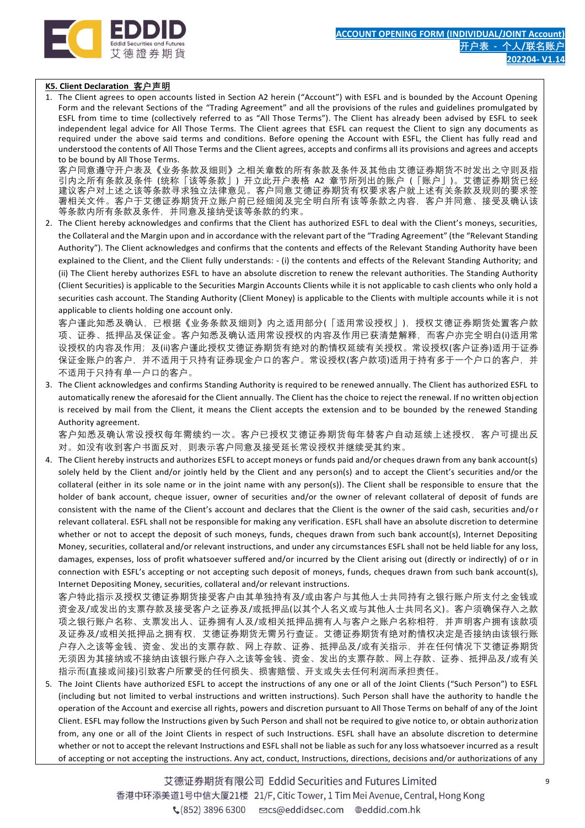

## **K5. Client Declaration 客户声明**

1. The Client agrees to open accounts listed in Section A2 herein ("Account") with ESFL and is bounded by the Account Opening Form and the relevant Sections of the "Trading Agreement" and all the provisions of the rules and guidelines promulgated by ESFL from time to time (collectively referred to as "All Those Terms"). The Client has already been advised by ESFL to seek independent legal advice for All Those Terms. The Client agrees that ESFL can request the Client to sign any documents as required under the above said terms and conditions. Before opening the Account with ESFL, the Client has fully read and understood the contents of All Those Terms and the Client agrees, accepts and confirms all its provisions and agrees and accepts to be bound by All Those Terms.

客户同意遵守开户表及《业务条款及细则》之相关章数的所有条款及条件及其他由艾德证券期货不时发出之守则及指 引内之所有条款及条件 (统称「该等条款」) 开立此开户表格 A2 章节所列出的账户 (「账户」)。艾德证券期货已经 建议客户对上述之该等条款寻求独立法律意见。客户同意艾德证券期货有权要求客户就上述有关条款及规则的要求签 署相关文件。客户于艾德证券期货开立账户前已经细阅及完全明白所有该等条款之内容,客户并同意、接受及确认该 等条款内所有条款及条件,并同意及接纳受该等条款的约束。

2. The Client hereby acknowledges and confirms that the Client has authorized ESFL to deal with the Client's moneys, securities, the Collateral and the Margin upon and in accordance with the relevant part of the "Trading Agreement" (the "Relevant Standing Authority"). The Client acknowledges and confirms that the contents and effects of the Relevant Standing Authority have been explained to the Client, and the Client fully understands: - (i) the contents and effects of the Relevant Standing Authority; and (ii) The Client hereby authorizes ESFL to have an absolute discretion to renew the relevant authorities. The Standing Authority (Client Securities) is applicable to the Securities Margin Accounts Clients while it is not applicable to cash clients who only hold a securities cash account. The Standing Authority (Client Money) is applicable to the Clients with multiple accounts while it is not applicable to clients holding one account only.

客户谨此知悉及确认,已根据《业务条款及细则》内之适用部分(「适用常设授权」),授权艾德证券期货处置客户款 项、证券、抵押品及保证金。客户知悉及确认适用常设授权的内容及作用已获清楚解释,而客户亦完全明白(i)适用常 设授权的内容及作用;及(ii)客户谨此授权艾德证券期货有绝对的酌情权延续有关授权。常设授权(客户证券)适用于证券 保证金账户的客户,并不适用于只持有证券现金户口的客户。常设授权(客户款项)适用于持有多于一个户口的客户,并 不适用于只持有单一户口的客户。

3. The Client acknowledges and confirms Standing Authority is required to be renewed annually. The Client has authorized ESFL to automatically renew the aforesaid for the Client annually. The Client has the choice to reject the renewal. If no written objection is received by mail from the Client, it means the Client accepts the extension and to be bounded by the renewed Standing Authority agreement.

客户知悉及确认常设授权每年需续约一次。客户已授权艾德证券期货每年替客户自动延续上述授权,客户可提出反 对。如没有收到客户书面反对,则表示客户同意及接受延长常设授权并继续受其约束。

4. The Client hereby instructs and authorizes ESFL to accept moneys or funds paid and/or cheques drawn from any bank account(s) solely held by the Client and/or jointly held by the Client and any person(s) and to accept the Client's securities and/or the collateral (either in its sole name or in the joint name with any person(s)). The Client shall be responsible to ensure that the holder of bank account, cheque issuer, owner of securities and/or the owner of relevant collateral of deposit of funds are consistent with the name of the Client's account and declares that the Client is the owner of the said cash, securities and/o r relevant collateral. ESFL shall not be responsible for making any verification. ESFL shall have an absolute discretion to determine whether or not to accept the deposit of such moneys, funds, cheques drawn from such bank account(s), Internet Depositing Money, securities, collateral and/or relevant instructions, and under any circumstances ESFL shall not be held liable for any loss, damages, expenses, loss of profit whatsoever suffered and/or incurred by the Client arising out (directly or indirectly) of or in connection with ESFL's accepting or not accepting such deposit of moneys, funds, cheques drawn from such bank account(s), Internet Depositing Money, securities, collateral and/or relevant instructions.

客户特此指示及授权艾德证券期货接受客户由其单独持有及/或由客户与其他人士共同持有之银行账户所支付之金钱或 资金及/或发出的支票存款及接受客户之证券及/或抵押品(以其个人名义或与其他人士共同名义)。客户须确保存入之款 项之银行账户名称、支票发出人、证券拥有人及/或相关抵押品拥有人与客户之账户名称相符,并声明客户拥有该款项 及证券及/或相关抵押品之拥有权,艾德证券期货无需另行查证。艾德证券期货有绝对酌情权决定是否接纳由该银行账 户存入之该等金钱、资金、发出的支票存款、网上存款、证券、抵押品及/或有关指示,并在任何情况下艾德证券期货 无须因为其接纳或不接纳由该银行账户存入之该等金钱、资金、发出的支票存款、网上存款、证券、抵押品及/或有关 指示而(直接或间接)引致客户所蒙受的任何损失、损害赔偿、开支或失去任何利润而承担责任。

5. The Joint Clients have authorized ESFL to accept the instructions of any one or all of the Joint Clients ("Such Person") to ESFL (including but not limited to verbal instructions and written instructions). Such Person shall have the authority to handle t he operation of the Account and exercise all rights, powers and discretion pursuant to All Those Terms on behalf of any of the Joint Client. ESFL may follow the Instructions given by Such Person and shall not be required to give notice to, or obtain authorization from, any one or all of the Joint Clients in respect of such Instructions. ESFL shall have an absolute discretion to determine whether or not to accept the relevant Instructions and ESFL shall not be liable as such for any loss whatsoever incurred as a result of accepting or not accepting the instructions. Any act, conduct, Instructions, directions, decisions and/or authorizations of any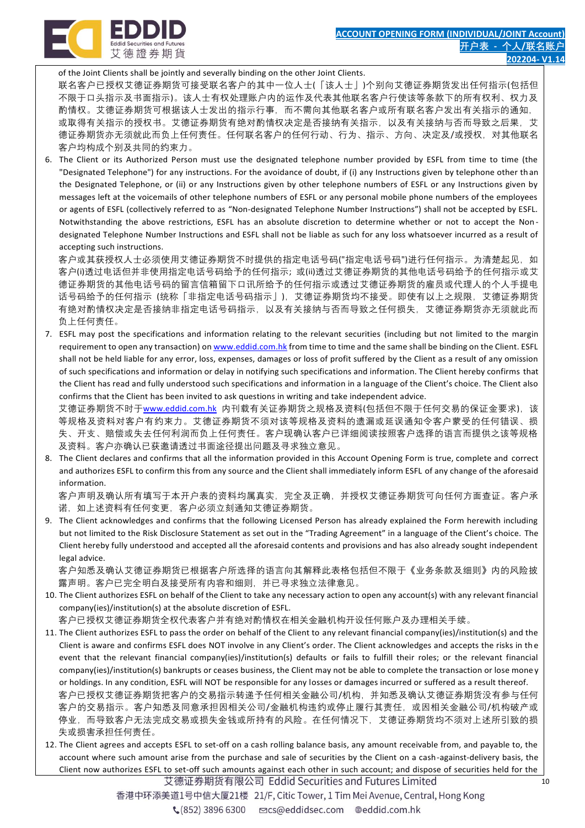

of the Joint Clients shall be jointly and severally binding on the other Joint Clients.

联名客户已授权艾德证券期货可接受联名客户的其中一位人士(「该人士」)个别向艾德证券期货发出任何指示(包括但 不限于口头指示及书面指示)。该人士有权处理账户内的运作及代表其他联名客户行使该等条款下的所有权利、权力及 酌情权。艾德证券期货可根据该人士发出的指示行事,而不需向其他联名客户或所有联名客户发出有关指示的通知, 或取得有关指示的授权书。艾德证券期货有绝对酌情权决定是否接纳有关指示,以及有关接纳与否而导致之后果,艾 德证券期货亦无须就此而负上任何责任。任何联名客户的任何行动、行为、指示、方向、决定及/或授权,对其他联名 客户均构成个别及共同的约束力。

6. The Client or its Authorized Person must use the designated telephone number provided by ESFL from time to time (the "Designated Telephone") for any instructions. For the avoidance of doubt, if (i) any Instructions given by telephone other th an the Designated Telephone, or (ii) or any Instructions given by other telephone numbers of ESFL or any Instructions given by messages left at the voicemails of other telephone numbers of ESFL or any personal mobile phone numbers of the employees or agents of ESFL (collectively referred to as "Non-designated Telephone Number Instructions") shall not be accepted by ESFL. Notwithstanding the above restrictions, ESFL has an absolute discretion to determine whether or not to accept the Non designated Telephone Number Instructions and ESFL shall not be liable as such for any loss whatsoever incurred as a result of accepting such instructions.

客户或其获授权人士必须使用艾德证券期货不时提供的指定电话号码("指定电话号码")进行任何指示。为清楚起见,如 客户(i)透过电话但并非使用指定电话号码给予的任何指示; 或(ii)透过艾德证券期货的其他电话号码给予的任何指示或艾 德证券期货的其他电话号码的留言信箱留下口讯所给予的任何指示或透过艾德证券期货的雇员或代理人的个人手提电 话号码给予的任何指示 (统称「非指定电话号码指示」),艾德证券期货均不接受。即使有以上之规限,艾德证券期货 有绝对酌情权决定是否接纳非指定电话号码指示,以及有关接纳与否而导致之任何损失,艾德证券期货亦无须就此而 负上任何责任。

7. ESFL may post the specifications and information relating to the relevant securities (including but not limited to the margin requirement to open any transaction) o[n www.eddid.com.hk](http://www.eddid.com.hk/) from time to time and the same shall be binding on the Client. ESFL shall not be held liable for any error, loss, expenses, damages or loss of profit suffered by the Client as a result of any omission of such specifications and information or delay in notifying such specifications and information. The Client hereby confirms that the Client has read and fully understood such specifications and information in a language of the Client's choice. The Client also confirms that the Client has been invited to ask questions in writing and take independent advice. 艾德证券期货不时于[www.eddid.com.hk](http://www.eddid.com.hk/) 内刊载有关证券期货之规格及资料(包括但不限于任何交易的保证金要求), 该

等规格及资料对客户有约束力。艾德证券期货不须对该等规格及资料的遗漏或延误通知令客户蒙受的任何错误、损 失、开支、赔偿或失去任何利润而负上任何责任。客户现确认客户已详细阅读按照客户选择的语言而提供之该等规格 及资料。客户亦确认已获邀请透过书面途径提出问题及寻求独立意见。

8. The Client declares and confirms that all the information provided in this Account Opening Form is true, complete and correct and authorizes ESFL to confirm this from any source and the Client shall immediately inform ESFL of any change of the aforesaid information.

客户声明及确认所有填写于本开户表的资料均属真实,完全及正确,并授权艾德证券期货可向任何方面查证。客户承 诺,如上述资料有任何变更,客户必须立刻通知艾德证券期货。

9. The Client acknowledges and confirms that the following Licensed Person has already explained the Form herewith including but not limited to the Risk Disclosure Statement as set out in the "Trading Agreement" in a language of the Client's choice. The Client hereby fully understood and accepted all the aforesaid contents and provisions and has also already sought independent legal advice.

客户知悉及确认艾德证券期货已根据客户所选择的语言向其解释此表格包括但不限于《业务条款及细则》内的风险披 露声明。客户已完全明白及接受所有内容和细则,并已寻求独立法律意见。

10. The Client authorizes ESFL on behalf of the Client to take any necessary action to open any account(s) with any relevant financial company(ies)/institution(s) at the absolute discretion of ESFL.

客户已授权艾德证券期货全权代表客户并有绝对酌情权在相关金融机构开设任何账户及办理相关手续。

- 11. The Client authorizes ESFL to pass the order on behalf of the Client to any relevant financial company(ies)/institution(s) and the Client is aware and confirms ESFL does NOT involve in any Client's order. The Client acknowledges and accepts the risks in th e event that the relevant financial company(ies)/institution(s) defaults or fails to fulfill their roles; or the relevant financial company(ies)/institution(s) bankrupts or ceases business, the Client may not be able to complete the transaction or lose mone y or holdings. In any condition, ESFL will NOT be responsible for any losses or damages incurred or suffered as a result thereof. 客户已授权艾德证券期货把客户的交易指示转递予任何相关金融公司/机构,并知悉及确认艾德证券期货没有参与任何 客户的交易指示。客户知悉及同意承担因相关公司/金融机构违约或停止履行其责任,或因相关金融公司/机构破产或 停业,而导致客户无法完成交易或损失金钱或所持有的风险。在任何情况下,艾德证券期货均不须对上述所引致的损 失或损害承担任何责任。
- 12. The Client agrees and accepts ESFL to set-off on a cash rolling balance basis, any amount receivable from, and payable to, the account where such amount arise from the purchase and sale of securities by the Client on a cash-against-delivery basis, the Client now authorizes ESFL to set-off such amounts against each other in such account; and dispose of securities held for the 艾德证券期货有限公司 Eddid Securities and Futures Limited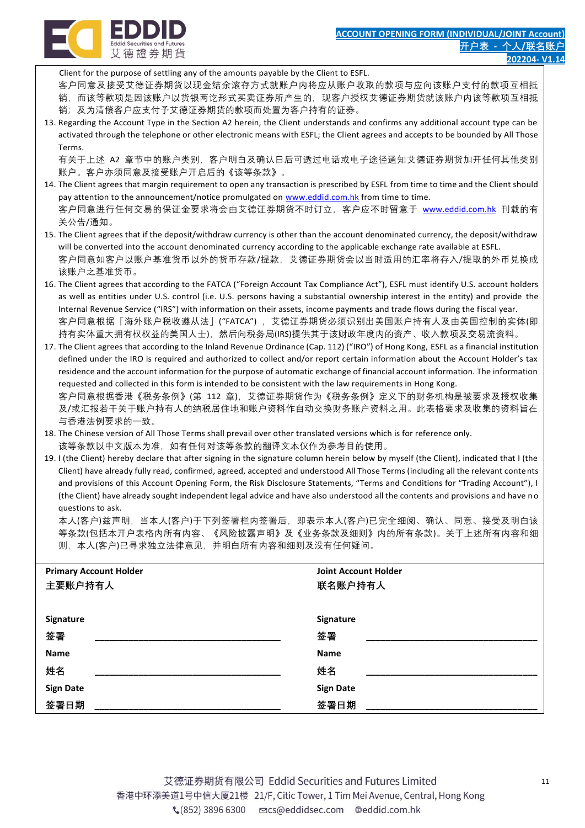

艾德證券期貨

Client for the purpose of settling any of the amounts payable by the Client to ESFL.

客户同意及接受艾德证券期货以现金结余滚存方式就账户内将应从账户收取的款项与应向该账户支付的款项互相抵

- 销,而该等款项是因该账户以货银两讫形式买卖证券所产生的,现客户授权艾德证券期货就该账户内该等款项互相抵 销;及为清偿客户应支付予艾德证券期货的款项而处置为客户持有的证券。
- 13. Regarding the Account Type in the Section A2 herein, the Client understands and confirms any additional account type can be activated through the telephone or other electronic means with ESFL; the Client agrees and accepts to be bounded by All Those Terms.

有关于上述 A2 章节中的账户类别,客户明白及确认日后可透过电话或电子途径通知艾德证券期货加开任何其他类别 账户。客户亦须同意及接受账户开启后的《该等条款》。

- 14. The Client agrees that margin requirement to open any transaction is prescribed by ESFL from time to time and the Client should pay attention to the announcement/notice promulgated on [www.eddid.com.hk](http://www.eddid.com.hk/) from time to time. 客户同意进行任何交易的保证金要求将会由艾德证券期货不时订立,客户应不时留意于 [www.eddid.com.hk](http://www.eddid.com.hk/) 刊载的有 关公告/通知。
- 15. The Client agrees that if the deposit/withdraw currency is other than the account denominated currency, the deposit/withdraw will be converted into the account denominated currency according to the applicable exchange rate available at ESFL. 客户同意如客户以账户基准货币以外的货币存款/提款,艾德证券期货会以当时适用的汇率将存入/提取的外币兑换成 该账户之基准货币。
- 16. The Client agrees that according to the FATCA ("Foreign Account Tax Compliance Act"), ESFL must identify U.S. account holders as well as entities under U.S. control (i.e. U.S. persons having a substantial ownership interest in the entity) and provide the Internal Revenue Service ("IRS") with information on their assets, income payments and trade flows during the fiscal year. 客户同意根据「海外账户税收遵从法」("FATCA") ,艾德证券期货必须识别出美国账户持有人及由美国控制的实体(即 持有实体重大拥有权权益的美国人士),然后向税务局(IRS)提供其于该财政年度内的资产、收入款项及交易流资料。
- 17. The Client agrees that according to the Inland Revenue Ordinance (Cap. 112) ("IRO") of Hong Kong, ESFL as a financial institution defined under the IRO is required and authorized to collect and/or report certain information about the Account Holder's tax residence and the account information for the purpose of automatic exchange of financial account information. The information requested and collected in this form is intended to be consistent with the law requirements in Hong Kong. 客户同意根据香港《税务条例》(第 112 章), 艾德证券期货作为《税务条例》定义下的财务机构是被要求及授权收集 及/或汇报若干关于账户持有人的纳税居住地和账户资料作自动交换财务账户资料之用。此表格要求及收集的资料旨在
- 与香港法例要求的一致。 18. The Chinese version of All Those Terms shall prevail over other translated versions which is for reference only.
- 该等条款以中文版本为准,如有任何对该等条款的翻译文本仅作为参考目的使用。
- 19. I (the Client) hereby declare that after signing in the signature column herein below by myself (the Client), indicated that I (the Client) have already fully read, confirmed, agreed, accepted and understood All Those Terms (including all the relevant contents and provisions of this Account Opening Form, the Risk Disclosure Statements, "Terms and Conditions for "Trading Account"), I (the Client) have already sought independent legal advice and have also understood all the contents and provisions and have no questions to ask.

本人(客户)兹声明,当本人(客户)于下列签署栏内签署后,即表示本人(客户)已完全细阅、确认、同意、接受及明白该 等条款(包括本开户表格内所有内容、《风险披露声明》及《业务条款及细则》内的所有条款)。关于上述所有内容和细 则,本人(客户)已寻求独立法律意见,并明白所有内容和细则及没有任何疑问。

| <b>Primary Account Holder</b> | <b>Joint Account Holder</b> |
|-------------------------------|-----------------------------|
| 主要账户持有人                       | 联名账户持有人                     |
|                               |                             |
| Signature                     | <b>Signature</b>            |
| 签署                            | 签署                          |
| Name                          | <b>Name</b>                 |
| 姓名                            | 姓名                          |
| <b>Sign Date</b>              | <b>Sign Date</b>            |
| 签署日期                          | 签署日期                        |